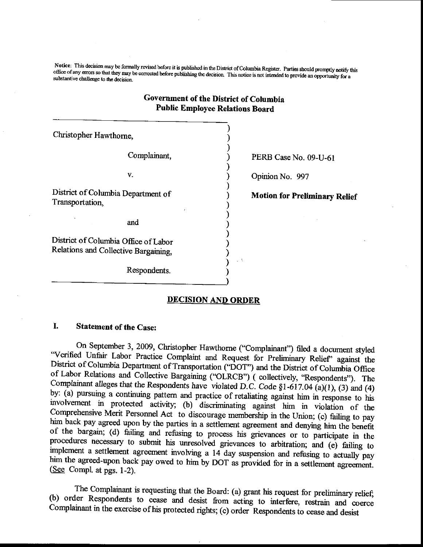Notice: This decision may be formally revised before it is published in the District of Columbia Register. Parties should promptly notify this office of any errors so that they may be corrected before publishing the decision. This notice is not intended to provide an opportunity for a substantive challenge to the decision.

# Government of the District of Columbia **Public Employee Relations Board**

Christopher Hawthorne.

Complainant,

V.

District of Columbia Department of Transportation.

and

District of Columbia Office of Labor Relations and Collective Bargaining,

Respondents.

PERB Case No. 09-U-61

Opinion No. 997

**Motion for Preliminary Relief** 

# **DECISION AND ORDER**

#### L. **Statement of the Case:**

On September 3, 2009, Christopher Hawthorne ("Complainant") filed a document styled "Verified Unfair Labor Practice Complaint and Request for Preliminary Relief" against the District of Columbia Department of Transportation ("DOT") and the District of Columbia Office of Labor Relations and Collective Bargaining ("OLRCB") (collectively, "Respondents"). The Complainant alleges that the Respondents have violated D.C. Code  $$1-617.04$  (a)(1), (3) and (4) by: (a) pursuing a continuing pattern and practice of retaliating against him in response to his involvement in protected activity; (b) discriminating against him in violation of the Comprehensive Merit Personnel Act to discourage membership in the Union; (c) failing to pay him back pay agreed upon by the parties in a settlement agreement and denying him the benefit of the bargain; (d) failing and refusing to process his grievances or to participate in the procedures necessary to submit his unresolved grievances to arbitration; and (e) failing to implement a settlement agreement involving a 14 day suspension and refusing to actually pay him the agreed-upon back pay owed to him by DOT as provided for in a settlement agreement.  $(See Compl. at pgs. 1-2).$ 

The Complainant is requesting that the Board: (a) grant his request for preliminary relief; (b) order Respondents to cease and desist from acting to interfere, restrain and coerce Complainant in the exercise of his protected rights; (c) order Respondents to cease and desist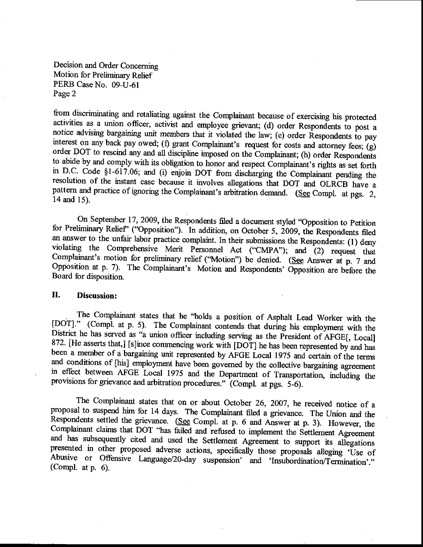from discriminating and retaliating against the Complainant because of exercising his protected activities as a union officer, activist and employee grievant; (d) order Respondents to post a notice advising bargaining unit members that it violated the law; (e) order Respondents to pay interest on any back pay owed; (f) grant Complainant's request for costs and attorney fees; (g) order DOT to rescind any and all discipline imposed on the Complainant; (h) order Respondents to abide by and comply with its obligation to honor and respect Complainant's rights as set forth in D.C. Code §1-617.06; and (i) enjoin DOT from discharging the Complainant pending the resolution of the instant case because it involves allegations that DOT and OLRCB have a pattern and practice of ignoring the Complainant's arbitration demand. (See Compl. at pgs. 2, 14 and 15).

On September 17, 2009, the Respondents filed a document styled "Opposition to Petition for Preliminary Relief' ("Opposition"). In addition, on October 5, 2009, the Respondents filed an answer to the unfair labor practice complaint. In their submissions the Respondents: (1) deny violating the Comprehensive Merit Personnel Act ("CMPA"); and (2) request that Complainant's motion for preliminary relief ("Motion") be denied. (See Answer at p. 7 and Opposition at p. 7). The Complainant's Motion and Respondents' Opposition are before the Board for disposition.

#### II. **Discussion:**

The Complainant states that he "holds a position of Asphalt Lead Worker with the [DOT]." (Compl. at p. 5). The Complainant contends that during his employment with the District he has served as "a union officer including serving as the President of AFGE[, Local] 872. [He asserts that,] [s]ince commencing work with [DOT] he has been represented by and has been a member of a bargaining unit represented by AFGE Local 1975 and certain of the terms and conditions of [his] employment have been governed by the collective bargaining agreement in effect between AFGE Local 1975 and the Department of Transportation, including the provisions for grievance and arbitration procedures." (Compl. at pgs. 5-6).

The Complainant states that on or about October 26, 2007, he received notice of a proposal to suspend him for 14 days. The Complainant filed a grievance. The Union and the Respondents settled the grievance. (See Compl. at p. 6 and Answer at p. 3). However, the Complainant claims that DOT "has failed and refused to implement the Settlement Agreement and has subsequently cited and used the Settlement Agreement to support its allegations presented in other proposed adverse actions, specifically those proposals alleging 'Use of Abusive or Offensive Language/20-day suspension' and 'Insubordination/Termination'." (Compl. at  $p. 6$ ).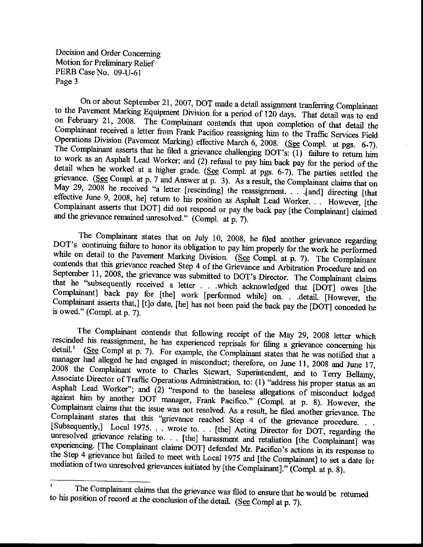On or about September 21, 2007, DOT made a detail assignment tranferring Complainant to the Pavement Marking Equipment Division for a period of 120 days. That detail was to end on February 21, 2008. The Complainant contends that upon completion of that detail the Complainant received a letter from Frank Pacifico reassigning him to the Traffic Services Field Operations Division (Pavement Marking) effective March 6, 2008. (See Compl. at pgs. 6-7). The Complainant asserts that he filed a grievance challenging DOT's:  $(1)$  failure to return him to work as an Asphalt Lead Worker; and (2) refusal to pay him back pay for the period of the detail when he worked at a higher grade. (See Compl. at pgs. 6-7). The parties settled the grievance. (See Compl. at p. 7 and Answer at p. 3). As a result, the Complainant claims that on May 29, 2008 he received "a letter [rescinding] the reassignment. . . . [and] directing [that effective June 9, 2008, he] return to his position as Asphalt Lead Worker. . . However, [the Complainant asserts that DOT] did not respond or pay the back pay [the Complainant] claimed and the grievance remained unresolved." (Compl. at p. 7).

The Complainant states that on July 10, 2008, he filed another grievance regarding DOT's continuing failure to honor its obligation to pay him properly for the work he performed while on detail to the Pavement Marking Division. (See Compl. at p. 7). The Complainant contends that this grievance reached Step 4 of the Grievance and Arbitration Procedure and on September 11, 2008, the grievance was submitted to DOT's Director. The Complainant claims that he "subsequently received a letter . . . which acknowledged that [DOT] owes [the Complainant] back pay for [the] work [performed while] on. . .detail. [However, the Complainant asserts that,] [t]o date, [he] has not been paid the back pay the [DOT] conceded he is owed." (Compl. at  $p. 7$ ).

The Complainant contends that following receipt of the May 29, 2008 letter which rescinded his reassignment, he has experienced reprisals for filing a grievance concerning his (See Compl at p. 7). For example, the Complainant states that he was notified that a  $\det$ detail.<sup>1</sup> manager had alleged he had engaged in misconduct; therefore, on June 11, 2008 and June 17, 2008 the Complainant wrote to Charles Stewart, Superintendent, and to Terry Bellamy, Associate Director of Traffic Operations Administration, to: (1) "address his proper status as an Asphalt Lead Worker"; and (2) "respond to the baseless allegations of misconduct lodged against him by another DOT manager, Frank Pacifico." (Compl. at p. 8). However, the Complainant claims that the issue was not resolved. As a result, he filed another grievance. The Complainant states that this "grievance reached Step 4 of the grievance procedure... [Subsequently,] Local 1975. . . wrote to. . . [the] Acting Director for DOT, regarding the unresolved grievance relating to. . . [the] harassment and retaliation [the Complainant] was experiencing. [The Complainant claims DOT] defended Mr. Pacifico's actions in its response to the Step 4 grievance but failed to meet with Local 1975 and [the Complainant] to set a date for mediation of two unresolved grievances initiated by [the Complainant]." (Compl. at p. 8).

The Complainant claims that the grievance was filed to ensure that he would be returned to his position of record at the conclusion of the detail. (See Compl at p. 7).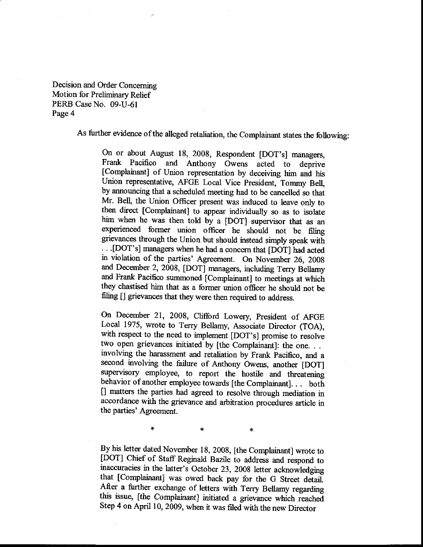As further evidence of the alleged retaliation, the Complainant states the following:

On or about August 18, 2008, Respondent [DOT's] managers, Frank Pacifico and Anthony Owens acted to deprive Frank Pacifico and Anthony Owens acted to [Complainant] of Union representation by deceiving him and his Union representative, AFGE Local Vice President, Tommy Bell, by armouncing that a scheduled meeting had to be cancelled so that Mr. Bell, the Union Officer present was induced to leave only to then direct [Complainant] to appear individually so as to isolate him when he was then told by a [DOT] supervisor that as an experienced former union officer he should not be fiting grievances through the Union but should instead sinrply speak with . . .[DOT's] managers when he had a concern that [DOT] had acted in violation of the parties' Agreement. On Novernber 26, ZO0g and December 2, 2008, [DOT] managers, including Terry Bellamy and Frank Pacifico sumrnoned [Complainant] to meetings at which they chastised him that as a former union officer he should not be filing [] grievances that they were then required to address.

On December 21, 2008, Clifford Lowery, President of AFGE Local 1975, wrote to Terry Bellamy, Associate Director (TOA), with respect to the need to implement [DOT's] promise to resolve two open grievances initiated by [the Complainant]: the one. . . involving the harassment and retaliation by Frank pacifico, and a second involving the failure of Anthony Owens, another [DOT] supervisory employee, to report the hostile and threatening behavior of another employee towards [the Complainant]. . . both [] matters the parties had agreed to resolve through rnediation in accordance with the grievance and arbitration procedures article in the parties' Agreement.

 $\mathbf{a}$ 

 $\star$ 

By his letter dated November 18, 2008, [the Complainant] wrote to [DOT] Chief of Staff Reginald Bazile to address and respond to inaccuracies in the latter's October 23, 2008 letter acknowledging that [Complainant] was owed back pay for the G Street detail. After a further exchange of letters with Terry Bellamy regarding this issue, [the Complainant] initiated a grievance which reached Step 4 on April 10, 2009, when it was filed with the new Director

 $\pmb{\ast}$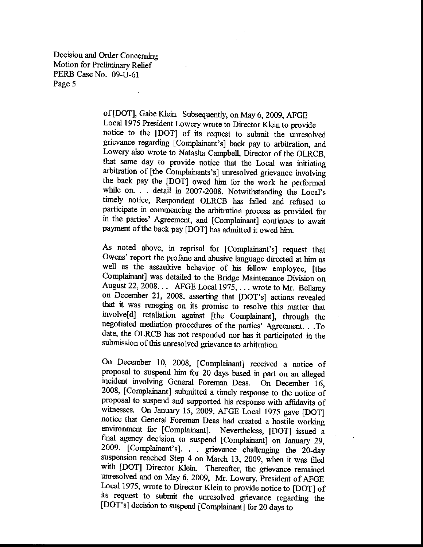> of [DOT], Gabe Klein. Subsequently, on May 6, 2009, AFGE Local 1975 President Lowery wrote to Director Klein to provide notice to the [DOT] of its request to submit the unresolved grievance regarding [Complainant's] back pay to arbitration, and Lowery also wrote to Natasha Campbell, Director of the OLRCB, that same day to provide notice that the Local was initiating arbitration of [the Complainants's] unresolved grievance involving the back pay the [DOT] owed him for the work he performed while on. . . detail in 2007-2008. Notwithstanding the Local's timely noticg Respondent OLRCB has failed and refused to participate in commencing the arbitration process as provided for in the parties' Agreement, and [Complainant] continues to await payment of the back pay [DOT] has admitted it owed him.

> As noted above, in reprisal for [Complainant's] request that Owens' report the profane and abusive language directed at him as well as the assaultive behavior of his fellow employee, [the Complainant] was detailed to the Bridge Maintenance Division on August 22, 2008. . . AFGE Local 1975, . . . wrote to Mr. Bellamy on December 21, 2008, asserting that [DOT's] actions revealed that it was reneging on its promise to resolve this matter that involve[d] retaliation against [the Complainant], through the negotiated mediation procedures of the parties' Agreement. . .To date, the OLRCB has not responded nor has it participated in the submission of this unresolved grievance to arbitration.

> On December 10, 2008, [Complainant] received a notice of proposal to suspend him for 20 days based in part on an alleged incident involving General Foreman Deas. On December 16, 2008, [Complainant] submitted a timely response to the notice of proposal to suspend and supported his response with affidavits of witnesses. On January 15, 2009, AFGE Local 1975 gave [DOT] notice that General Foreman Deas had created a hostile working environment for [Complainant]. Nevertheless, [DOT] issued a final agency decision to suspend [Complainant] on January 29, 2009. [Complainant's]. . . grievance challenging the 20-day suspension reached Step 4 on March 13, 2009, when it was filed with [DOT] Director Klein. Thereafter, the grievance remained unresolved and on May 6, 2009, Mr. towery, president of AFGE Local 1975, wrote to Director Klein to provide notice to [DOT] of its request to submit the unresolved grievance regarding the [DOT's] decision to suspend [Complainant] for 20 days to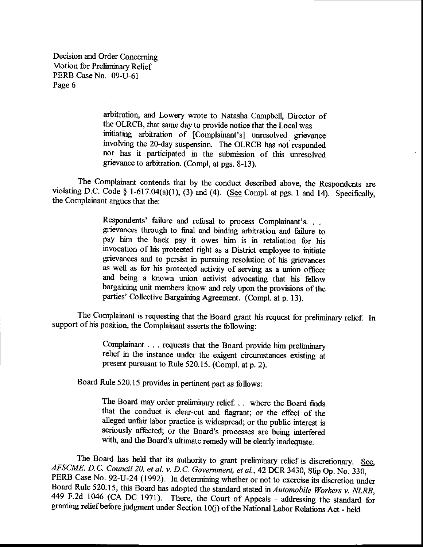> arbitration, and Lowery wrote to Natasha Campbell, Director of the OLRCB, that same day to provide notice that the Local was initiating arbitration of [Complainant's] unresolved grievance involving the 20-day suspension. The OLRCB has not responded nor has it participated in the submission of this unresolved grievance to arbitration. (Compl, at pgs. 8-13).

The Complainant contends that by the conduct described above, the Respondents are violating D.C. Code  $\S$  1-617.04(a)(1), (3) and (4). (See Compl. at pgs. 1 and 14). Specifically, The Complainant contends that by the conduct described above, the Respondents are the Complainant argues that the:

> Respondents' failure and refusal to process Complainant's. . . grievances through to final and binding arbitration and failure to pay him the back pay it owes him is in retaliation for his invocation of his protected right as a District enrployee to initiate grievances and to persist in pursuing resolution of his grievances as well as for his protected activity of serving as a union officer and being a known union activist advocating that his fellow bargaining unit members know and rely upon the provisions of the parties' Collective Bargaining Agreement. (Compl. at p. l3).

The Complainant is requesting that the Board grant his request for preliminary relief. In support of his position, the Complainant asserts the following:

> Complainant . . . requests that the Board provide him preliminary relief in the instance under the exigent circumstances existing at preserit pursuant to Rule 520.15. (Compl. at p. 2).

Board Rule 520. 15 provides in pertinent part as follows:

The Board may order preliminary relief . . where the Board finds that the conduct is clear-cut and flagrant; or the effect of the alleged unfair labor practice is widespread; or the public interest is seriously affected; or the Board's processes are being interfered with, and the Board's ultimate remedy will be clearly inadequate.

The Board has held that its authority to grant preliminary relief is discretionary. See, AFSCME, D.C. Council 20, et al. v. D.C. Government, et al., 42 DCR 3430, Slip Op. No. 330, PERB Case No. 92-U-24 (1992). In determini Board Rule 520.15, this Board has adopted the standard stated in Automobile Workers v. NLRB, 449 F.2d 1046 (CA DC 1971). There, the Court of Appeals - addressing the standard for granting relief before judgment under Secti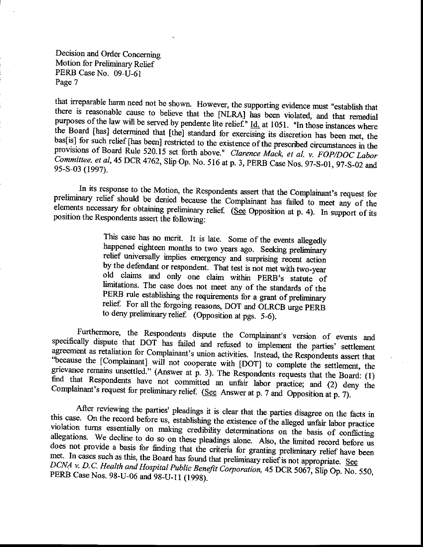that irreparable harm need not be shown. However, the supporting evidence must "establish that there is reasonable cause to believe that the [NLRA] has been violated, and that remedial purposes of the law will be served by pendente lite relief." Id. at 1051. "In those instances where the Board [has] determined that [the] standard for exercising its discretion has been met, the bas[is] for such relief [has been] restricted to the existence of the prescribed circumstances in the provisions of Board Rule 520.15 set forth above." Clarence Mack, et al. v. FOP/DOC Labor Committee, et al, 45 DCR 4762, Slip Op. No. 516 at p. 3, PERB Case Nos. 97-S-01, 97-S-02 and 95-S-03 (1997).

In its response to the Motion, the Respondents assert that the Complainant's request for preliminary relief should be denied because the Complainant has failed to meet any of the elements necessary for obtaining preliminary relief. (See Opposition at p. 4). In support of its position the Respondents assert the following:

> This case has no merit. It is late. Some of the events allegedly happened eighteen months to two years ago. Seeking preliminary relief universally implies emergency and surprising recent action by the defendant or respondent. That test is not met with two-year old claims and only one claim within PERB's statute of limitations. The case does not meet any of the standards of the PERB rule establishing the requirements for a grant of preliminary relief. For all the forgoing reasons, DOT and OLRCB urge PERB to deny preliminary relief. (Opposition at pgs. 5-6).

Furthermore, the Respondents dispute the Complainant's version of events and specifically dispute that DOT has failed and refused to implement the parties' settlement agreement as retaliation for Complainant's union activities. Instead, the Respondents assert that "because the [Complainant] will not cooperate with [DOT] to complete the settlement, the grievance remains unsettled." (Answer at  $\hat{p}$ . 3). The Respondents requests that the Board: (1) find that Respondents have not committed an unfair labor practice; and (2) deny the Complainant's request for preliminary relief. (See Answer at p. 7 and Opposition at p. 7).

After reviewing the parties' pleadings it is clear that the parties disagree on the facts in this case. On the record before us, establishing the existence of the alleged unfair labor practice violation turns essentially on making credibility determinations on the basis of conflicting allegations. We decline to do so on these pleadings alone. Also, the limited record before us does not provide a basis for finding that the criteria for granting preliminary relief have been met. In cases such as this, the Board has found that preliminary relief is not appropriate. See DCNA v. D.C. Health and Hospital Public Benefit Corporation, 45 DCR 5067, Slip Op. No. 550, PERB Case Nos. 98-U-06 and 98-U-11 (1998).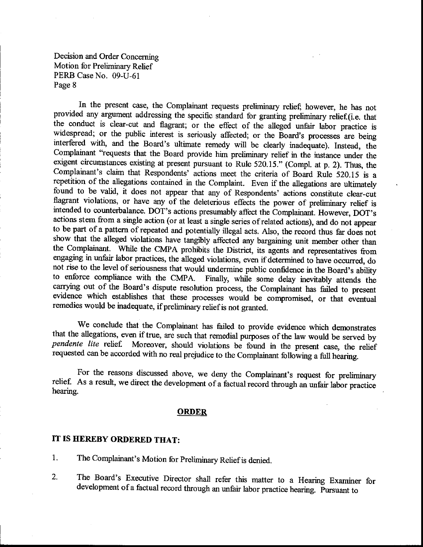In the present case, the Complainant requests preliminary relief, however, he has not provided any argument addressing the specific standard for granting preliminary relief.(i.e. that the conduct is clear-cut and flagrant; or the effect of the alleged unfair labor practice is widespread; or the public interest is seriously affected; or the Board's processes are being interfered with, and the Board's ultimate remedy will be clearly inadequate). Instead, the Complainant "requests that the Board provide him preliminary relief in the instance under the exigent circumstances existing at present pursuant to Rule 520.15." (Compl. at p. 2). Thus, the Complainant's claim that Respondents' actions meet the criteria of Board Rule 520.15 is a repetition of the allegations contained in the Complaint. Even if the allegations are ultimately found to be valid, it does not appear that any of Respondents' actions constitute clear-cut flagrant violations, or have any of the deleterious effects the power of preliminary relief is intended to counterbalance. DOT's actions presumably affect the Complainant. However, DOT's actions stem from a single action (or at least a single series of related actions), and do not appear to be part of a pattern of repeated and potentially illegal acts. Also, the record thus far does not show that the alleged violations have tangibly affected any bargaining unit mernber other than the Complainant. While the CMPA prohibits the District, its agents and representatives from engaging in unfair labor practices, the alleged violations, even if determined to-have occurred, do not rise to the level of seriousness that would undermine public confidence in the Board's ability to enforce compliance with the cMpA. Finally, while some delay inevitably attends the carrying out of the Board's dispute resolution process, the Complainant has failed to present evidence which establishes that these processes would be compromised, or that eventual remedies would be inadequate, if preliminary relief is not granted.

We conclude that the Complainant has failed to provide evidence which demonstrates that the allegations, even if true, are such that remedial purposes of the law would be served by pendente lite relief. Moreover, should violations be found in the present case, the relief requested can be accorded with no real prejudice to the Complainant following a full hearing.

For the reasons discussed above, we deny the Complainant's request for preliminary relief. As a result, we direct the development of a factual record through an unfair labor practice hearing.

### ORDER

# IT IS HEREBY ORDERED THAT:

1. The Complainant's Motion for preliminary Reliefis denied.

2. The Board's Executive Director shall refer this matter to a Hearing Examiner for development of a factual record through an unfair labor practice hearing. Pursuant to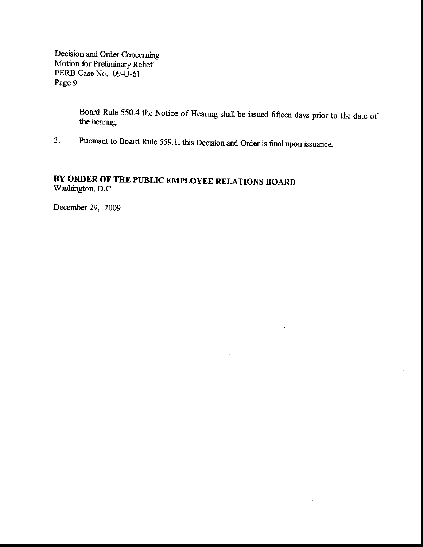Board Rule 550.4 the Notice of Hearing shall be issued fifteen days prior to the date of the hearing.

3. Pursuant to Board Rule 559.1, this Decision and Order is final upon issuance.

# BY ORDER OF THE PUBLIC EMPLOYEE RELATIONS BOARD Washington, D.C.

December 29, 2009